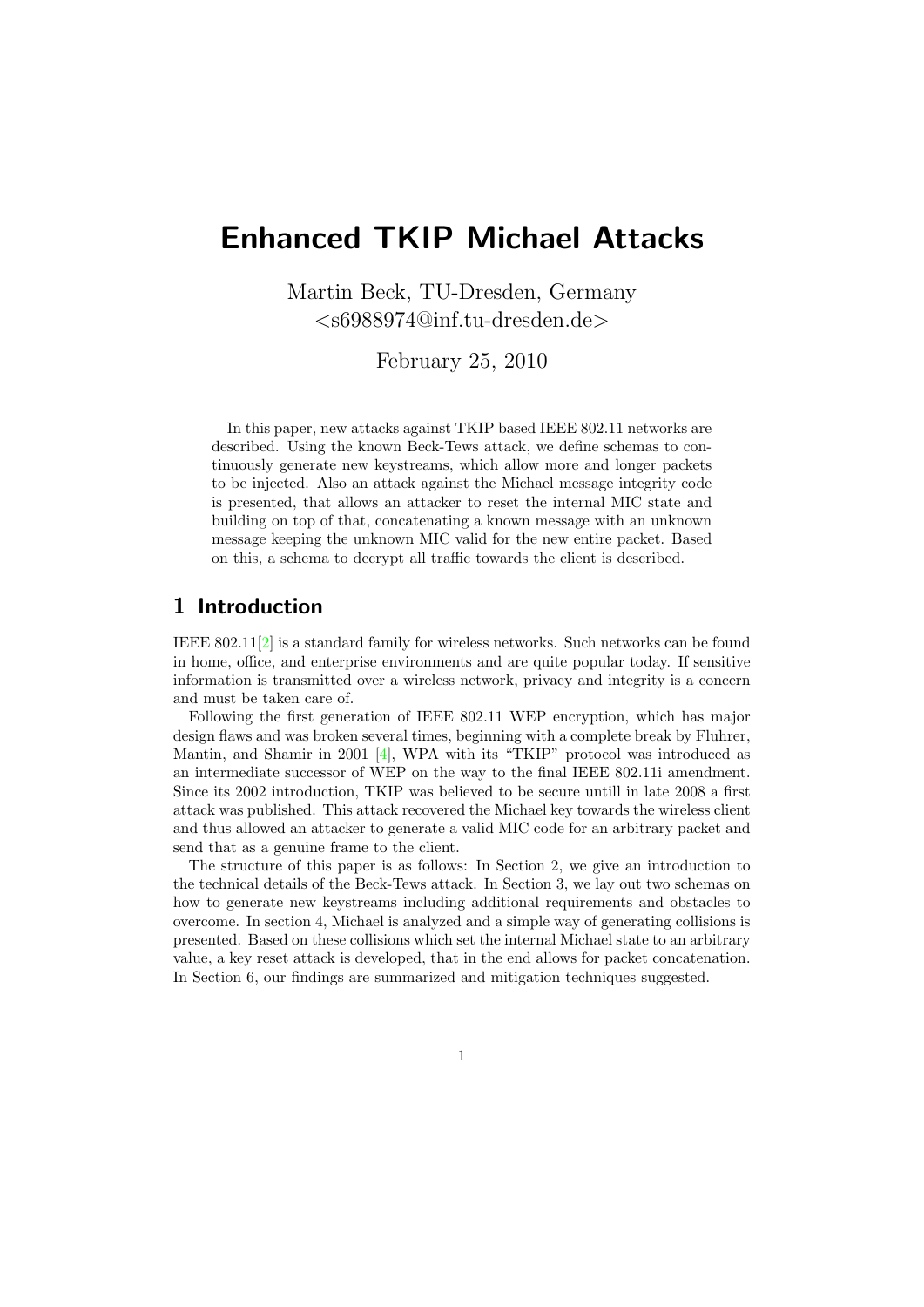# Enhanced TKIP Michael Attacks

Martin Beck, TU-Dresden, Germany <s6988974@inf.tu-dresden.de>

February 25, 2010

In this paper, new attacks against TKIP based IEEE 802.11 networks are described. Using the known Beck-Tews attack, we define schemas to continuously generate new keystreams, which allow more and longer packets to be injected. Also an attack against the Michael message integrity code is presented, that allows an attacker to reset the internal MIC state and building on top of that, concatenating a known message with an unknown message keeping the unknown MIC valid for the new entire packet. Based on this, a schema to decrypt all traffic towards the client is described.

## 1 Introduction

IEEE 802.11[\[2\]](#page-9-0) is a standard family for wireless networks. Such networks can be found in home, office, and enterprise environments and are quite popular today. If sensitive information is transmitted over a wireless network, privacy and integrity is a concern and must be taken care of.

Following the first generation of IEEE 802.11 WEP encryption, which has major design flaws and was broken several times, beginning with a complete break by Fluhrer, Mantin, and Shamir in 2001 [\[4\]](#page-9-1), WPA with its "TKIP" protocol was introduced as an intermediate successor of WEP on the way to the final IEEE 802.11i amendment. Since its 2002 introduction, TKIP was believed to be secure untill in late 2008 a first attack was published. This attack recovered the Michael key towards the wireless client and thus allowed an attacker to generate a valid MIC code for an arbitrary packet and send that as a genuine frame to the client.

The structure of this paper is as follows: In Section [2,](#page-1-0) we give an introduction to the technical details of the Beck-Tews attack. In Section [3,](#page-1-1) we lay out two schemas on how to generate new keystreams including additional requirements and obstacles to overcome. In section [4,](#page-3-0) Michael is analyzed and a simple way of generating collisions is presented. Based on these collisions which set the internal Michael state to an arbitrary value, a key reset attack is developed, that in the end allows for packet concatenation. In Section [6,](#page-9-2) our findings are summarized and mitigation techniques suggested.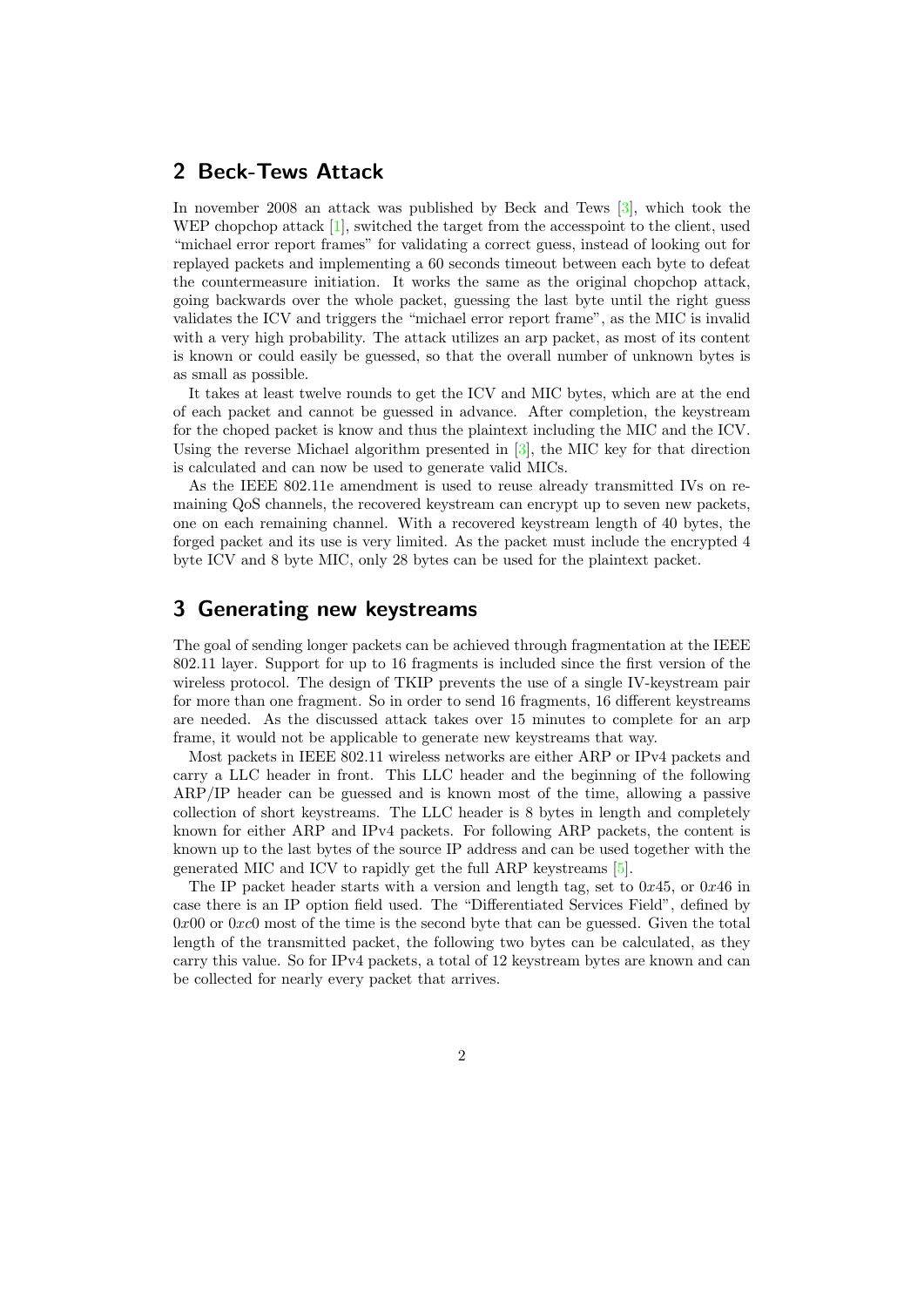## <span id="page-1-0"></span>2 Beck-Tews Attack

In november 2008 an attack was published by Beck and Tews [\[3\]](#page-9-3), which took the WEP chopchop attack [\[1\]](#page-9-4), switched the target from the accesspoint to the client, used "michael error report frames" for validating a correct guess, instead of looking out for replayed packets and implementing a 60 seconds timeout between each byte to defeat the countermeasure initiation. It works the same as the original chopchop attack, going backwards over the whole packet, guessing the last byte until the right guess validates the ICV and triggers the "michael error report frame", as the MIC is invalid with a very high probability. The attack utilizes an arp packet, as most of its content is known or could easily be guessed, so that the overall number of unknown bytes is as small as possible.

It takes at least twelve rounds to get the ICV and MIC bytes, which are at the end of each packet and cannot be guessed in advance. After completion, the keystream for the choped packet is know and thus the plaintext including the MIC and the ICV. Using the reverse Michael algorithm presented in [\[3\]](#page-9-3), the MIC key for that direction is calculated and can now be used to generate valid MICs.

As the IEEE 802.11e amendment is used to reuse already transmitted IVs on remaining QoS channels, the recovered keystream can encrypt up to seven new packets, one on each remaining channel. With a recovered keystream length of 40 bytes, the forged packet and its use is very limited. As the packet must include the encrypted 4 byte ICV and 8 byte MIC, only 28 bytes can be used for the plaintext packet.

#### <span id="page-1-1"></span>3 Generating new keystreams

The goal of sending longer packets can be achieved through fragmentation at the IEEE 802.11 layer. Support for up to 16 fragments is included since the first version of the wireless protocol. The design of TKIP prevents the use of a single IV-keystream pair for more than one fragment. So in order to send 16 fragments, 16 different keystreams are needed. As the discussed attack takes over 15 minutes to complete for an arp frame, it would not be applicable to generate new keystreams that way.

Most packets in IEEE 802.11 wireless networks are either ARP or IPv4 packets and carry a LLC header in front. This LLC header and the beginning of the following ARP/IP header can be guessed and is known most of the time, allowing a passive collection of short keystreams. The LLC header is 8 bytes in length and completely known for either ARP and IPv4 packets. For following ARP packets, the content is known up to the last bytes of the source IP address and can be used together with the generated MIC and ICV to rapidly get the full ARP keystreams [\[5\]](#page-9-5).

The IP packet header starts with a version and length tag, set to  $0x45$ , or  $0x46$  in case there is an IP option field used. The "Differentiated Services Field", defined by  $0x00$  or  $0xc0$  most of the time is the second byte that can be guessed. Given the total length of the transmitted packet, the following two bytes can be calculated, as they carry this value. So for IPv4 packets, a total of 12 keystream bytes are known and can be collected for nearly every packet that arrives.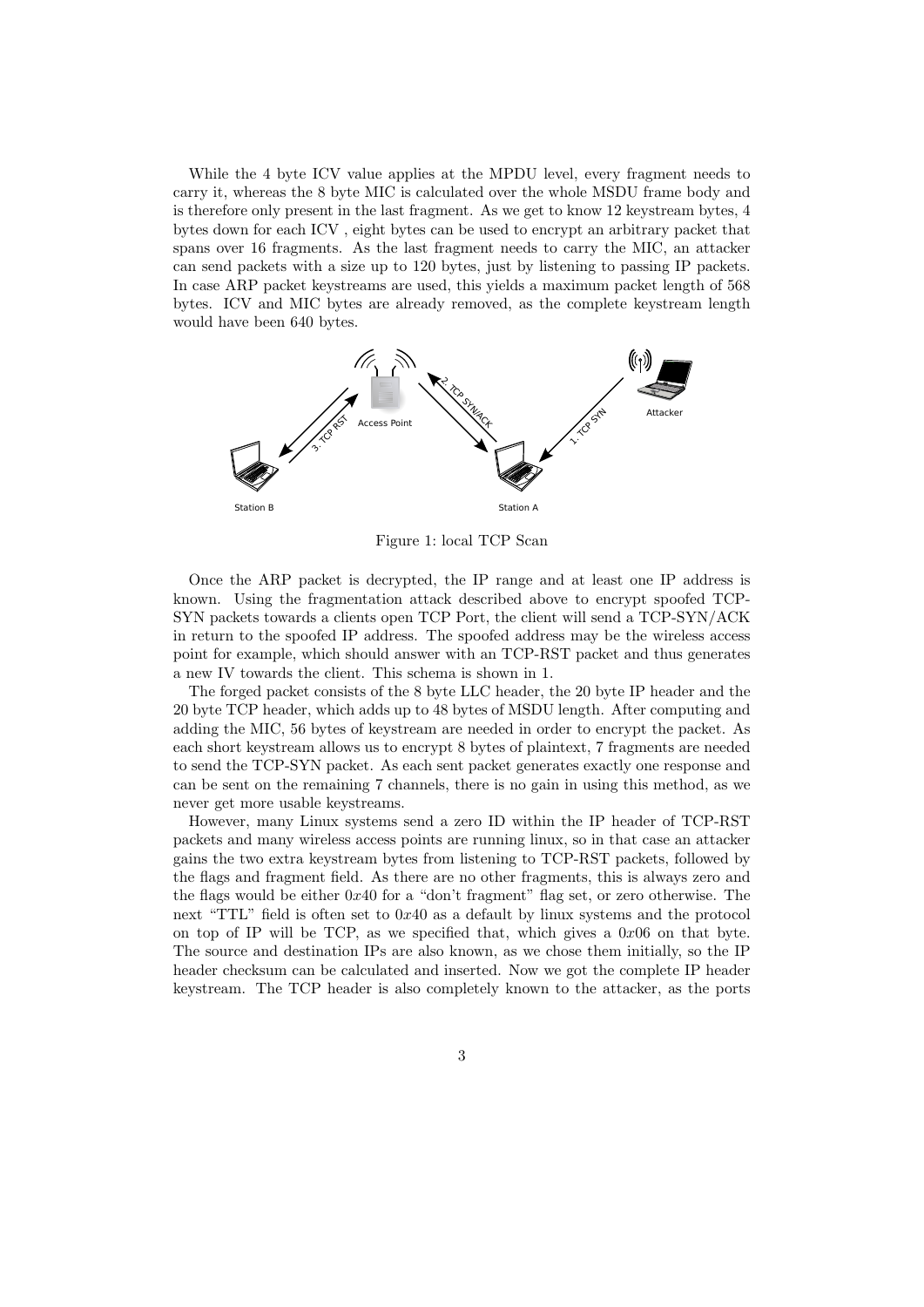While the 4 byte ICV value applies at the MPDU level, every fragment needs to carry it, whereas the 8 byte MIC is calculated over the whole MSDU frame body and is therefore only present in the last fragment. As we get to know 12 keystream bytes, 4 bytes down for each ICV , eight bytes can be used to encrypt an arbitrary packet that spans over 16 fragments. As the last fragment needs to carry the MIC, an attacker can send packets with a size up to 120 bytes, just by listening to passing IP packets. In case ARP packet keystreams are used, this yields a maximum packet length of 568 bytes. ICV and MIC bytes are already removed, as the complete keystream length would have been 640 bytes.



<span id="page-2-0"></span>Figure 1: local TCP Scan

Once the ARP packet is decrypted, the IP range and at least one IP address is known. Using the fragmentation attack described above to encrypt spoofed TCP-SYN packets towards a clients open TCP Port, the client will send a TCP-SYN/ACK in return to the spoofed IP address. The spoofed address may be the wireless access point for example, which should answer with an TCP-RST packet and thus generates a new IV towards the client. This schema is shown in [1.](#page-2-0)

The forged packet consists of the 8 byte LLC header, the 20 byte IP header and the 20 byte TCP header, which adds up to 48 bytes of MSDU length. After computing and adding the MIC, 56 bytes of keystream are needed in order to encrypt the packet. As each short keystream allows us to encrypt 8 bytes of plaintext, 7 fragments are needed to send the TCP-SYN packet. As each sent packet generates exactly one response and can be sent on the remaining 7 channels, there is no gain in using this method, as we never get more usable keystreams.

However, many Linux systems send a zero ID within the IP header of TCP-RST packets and many wireless access points are running linux, so in that case an attacker gains the two extra keystream bytes from listening to TCP-RST packets, followed by the flags and fragment field. As there are no other fragments, this is always zero and the flags would be either 0x40 for a "don't fragment" flag set, or zero otherwise. The next "TTL" field is often set to 0x40 as a default by linux systems and the protocol on top of IP will be TCP, as we specified that, which gives a  $0x06$  on that byte. The source and destination IPs are also known, as we chose them initially, so the IP header checksum can be calculated and inserted. Now we got the complete IP header keystream. The TCP header is also completely known to the attacker, as the ports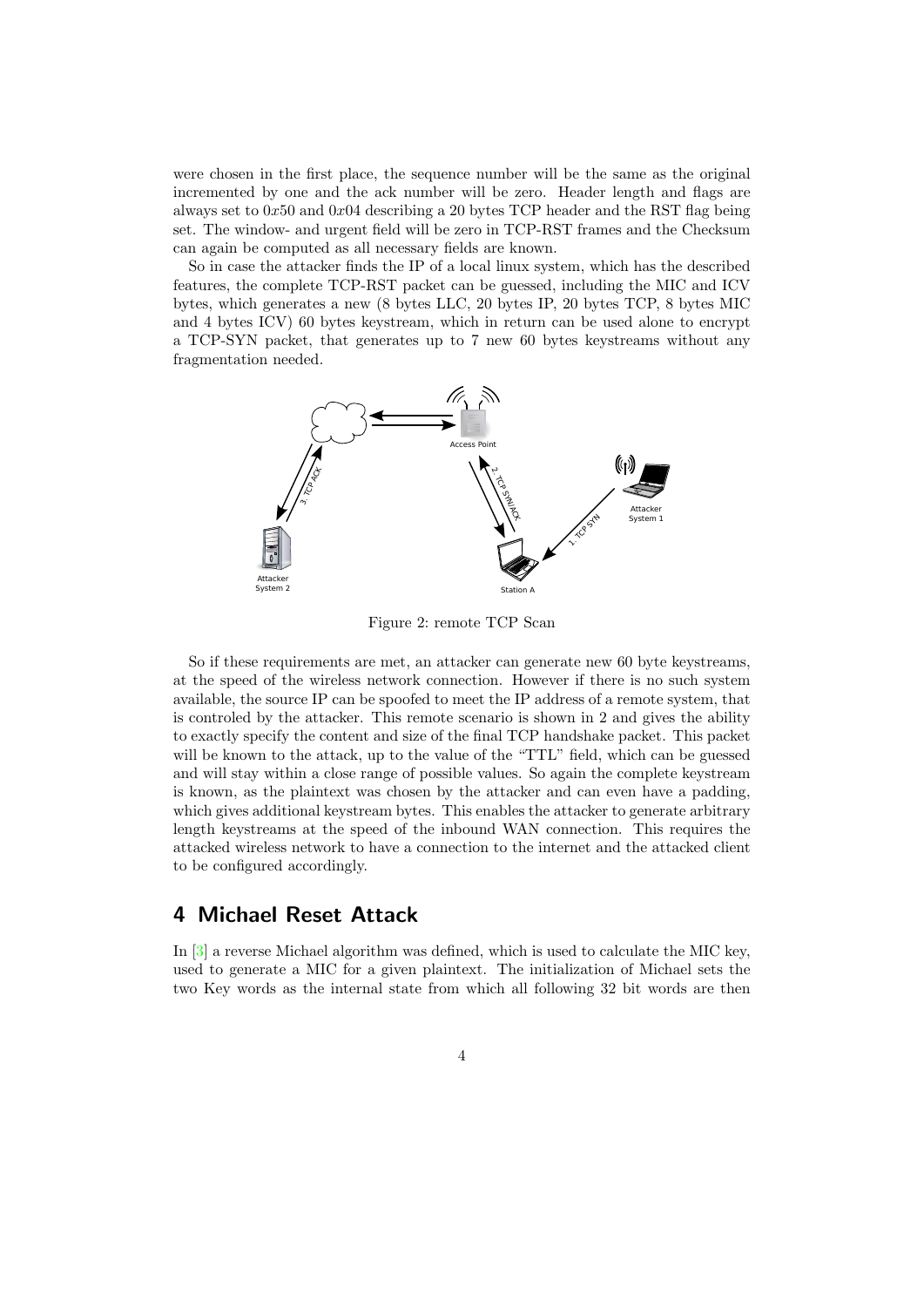were chosen in the first place, the sequence number will be the same as the original incremented by one and the ack number will be zero. Header length and flags are always set to  $0x50$  and  $0x04$  describing a 20 bytes TCP header and the RST flag being set. The window- and urgent field will be zero in TCP-RST frames and the Checksum can again be computed as all necessary fields are known.

So in case the attacker finds the IP of a local linux system, which has the described features, the complete TCP-RST packet can be guessed, including the MIC and ICV bytes, which generates a new (8 bytes LLC, 20 bytes IP, 20 bytes TCP, 8 bytes MIC and 4 bytes ICV) 60 bytes keystream, which in return can be used alone to encrypt a TCP-SYN packet, that generates up to 7 new 60 bytes keystreams without any fragmentation needed.



<span id="page-3-1"></span>Figure 2: remote TCP Scan

So if these requirements are met, an attacker can generate new 60 byte keystreams, at the speed of the wireless network connection. However if there is no such system available, the source IP can be spoofed to meet the IP address of a remote system, that is controled by the attacker. This remote scenario is shown in [2](#page-3-1) and gives the ability to exactly specify the content and size of the final TCP handshake packet. This packet will be known to the attack, up to the value of the "TTL" field, which can be guessed and will stay within a close range of possible values. So again the complete keystream is known, as the plaintext was chosen by the attacker and can even have a padding, which gives additional keystream bytes. This enables the attacker to generate arbitrary length keystreams at the speed of the inbound WAN connection. This requires the attacked wireless network to have a connection to the internet and the attacked client to be configured accordingly.

#### <span id="page-3-0"></span>4 Michael Reset Attack

In [\[3\]](#page-9-3) a reverse Michael algorithm was defined, which is used to calculate the MIC key, used to generate a MIC for a given plaintext. The initialization of Michael sets the two Key words as the internal state from which all following 32 bit words are then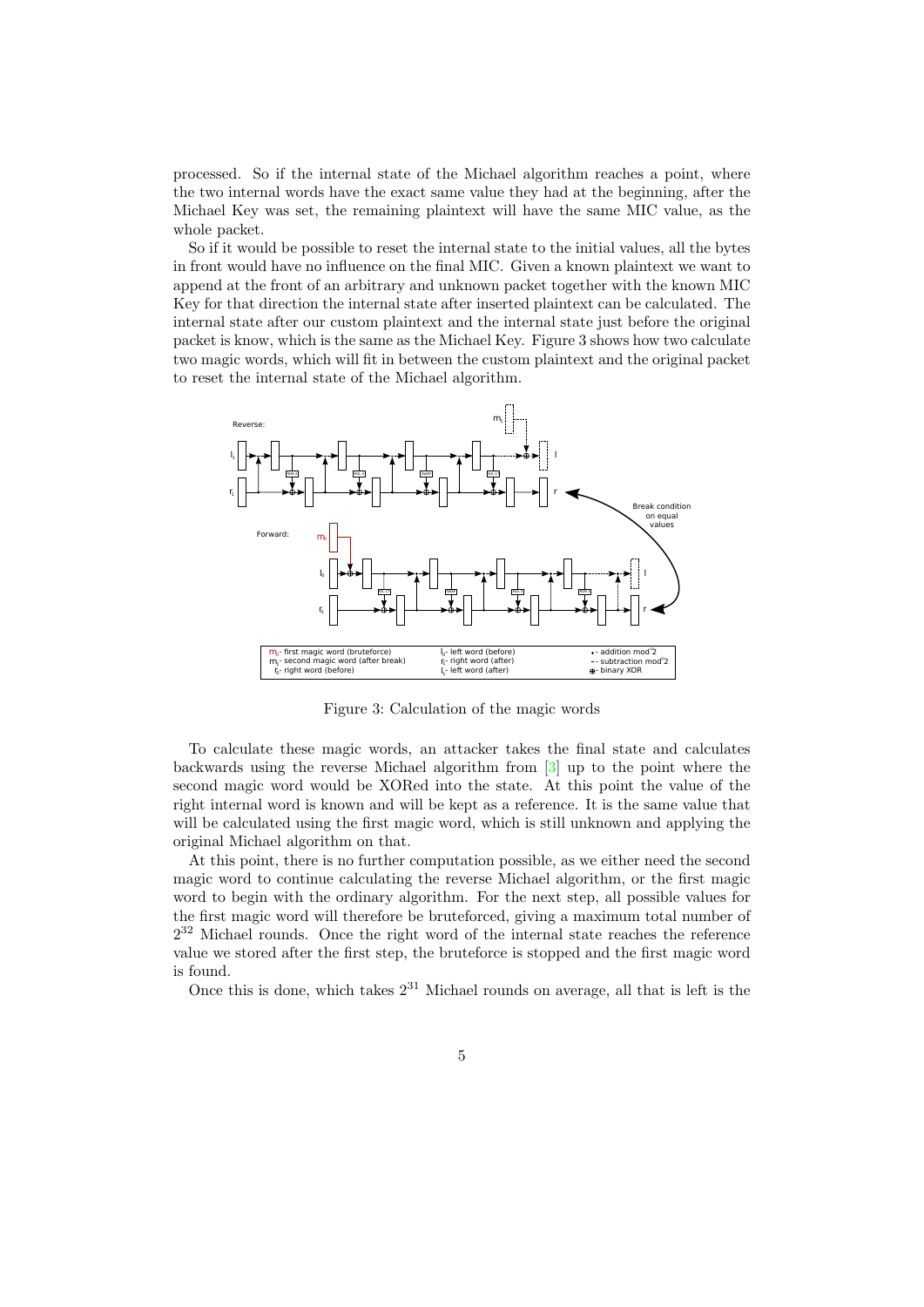processed. So if the internal state of the Michael algorithm reaches a point, where the two internal words have the exact same value they had at the beginning, after the Michael Key was set, the remaining plaintext will have the same MIC value, as the whole packet.

So if it would be possible to reset the internal state to the initial values, all the bytes in front would have no influence on the final MIC. Given a known plaintext we want to append at the front of an arbitrary and unknown packet together with the known MIC Key for that direction the internal state after inserted plaintext can be calculated. The internal state after our custom plaintext and the internal state just before the original packet is know, which is the same as the Michael Key. Figure [3](#page-4-0) shows how two calculate two magic words, which will fit in between the custom plaintext and the original packet to reset the internal state of the Michael algorithm.



<span id="page-4-0"></span>Figure 3: Calculation of the magic words

To calculate these magic words, an attacker takes the final state and calculates backwards using the reverse Michael algorithm from [\[3\]](#page-9-3) up to the point where the second magic word would be XORed into the state. At this point the value of the right internal word is known and will be kept as a reference. It is the same value that will be calculated using the first magic word, which is still unknown and applying the original Michael algorithm on that.

At this point, there is no further computation possible, as we either need the second magic word to continue calculating the reverse Michael algorithm, or the first magic word to begin with the ordinary algorithm. For the next step, all possible values for the first magic word will therefore be bruteforced, giving a maximum total number of  $2^{32}$  Michael rounds. Once the right word of the internal state reaches the reference value we stored after the first step, the bruteforce is stopped and the first magic word is found.

Once this is done, which takes  $2^{31}$  Michael rounds on average, all that is left is the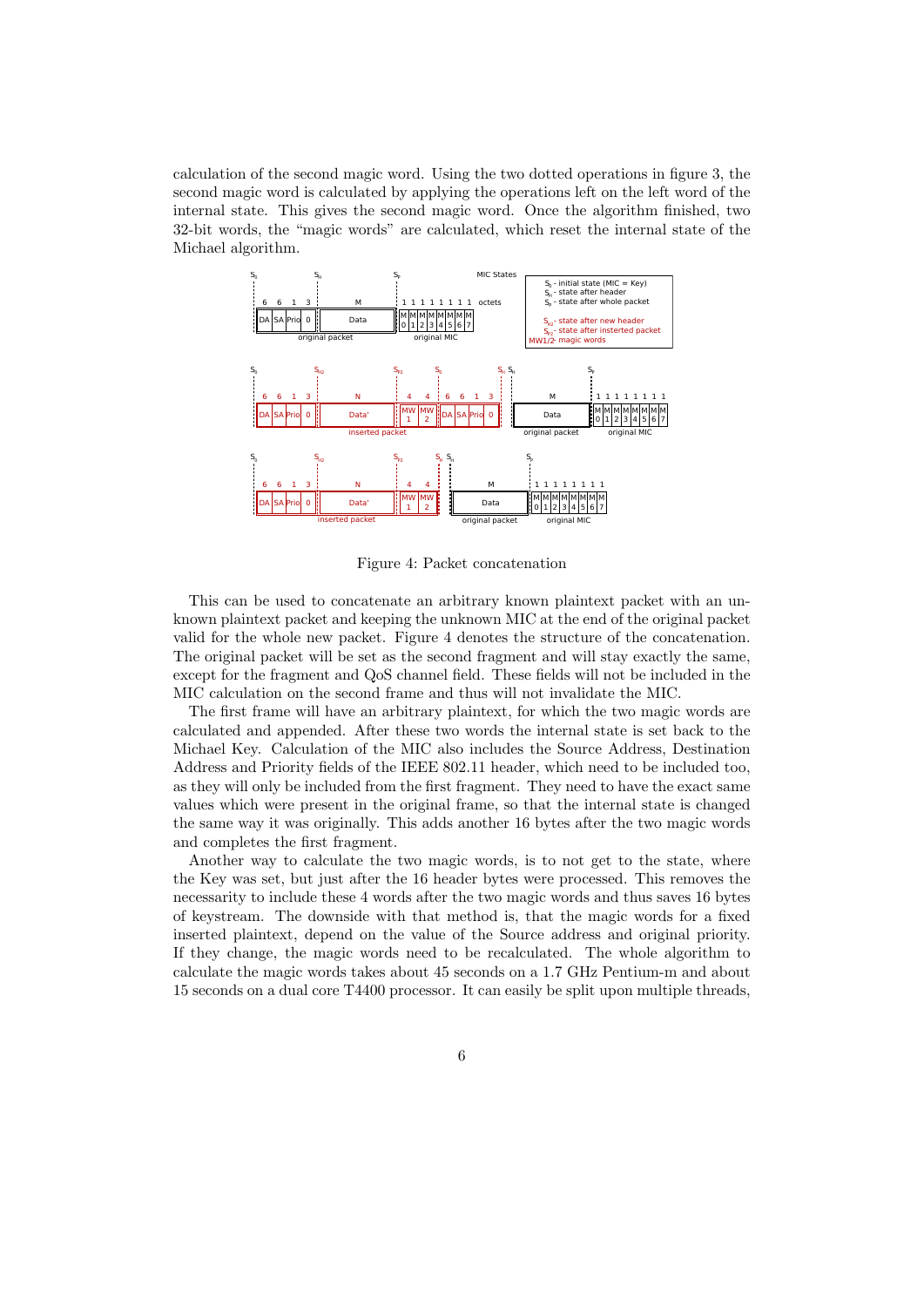calculation of the second magic word. Using the two dotted operations in figure [3,](#page-4-0) the second magic word is calculated by applying the operations left on the left word of the internal state. This gives the second magic word. Once the algorithm finished, two 32-bit words, the "magic words" are calculated, which reset the internal state of the Michael algorithm.



<span id="page-5-0"></span>Figure 4: Packet concatenation

This can be used to concatenate an arbitrary known plaintext packet with an unknown plaintext packet and keeping the unknown MIC at the end of the original packet valid for the whole new packet. Figure [4](#page-5-0) denotes the structure of the concatenation. The original packet will be set as the second fragment and will stay exactly the same, except for the fragment and QoS channel field. These fields will not be included in the MIC calculation on the second frame and thus will not invalidate the MIC.

The first frame will have an arbitrary plaintext, for which the two magic words are calculated and appended. After these two words the internal state is set back to the Michael Key. Calculation of the MIC also includes the Source Address, Destination Address and Priority fields of the IEEE 802.11 header, which need to be included too, as they will only be included from the first fragment. They need to have the exact same values which were present in the original frame, so that the internal state is changed the same way it was originally. This adds another 16 bytes after the two magic words and completes the first fragment.

Another way to calculate the two magic words, is to not get to the state, where the Key was set, but just after the 16 header bytes were processed. This removes the necessarity to include these 4 words after the two magic words and thus saves 16 bytes of keystream. The downside with that method is, that the magic words for a fixed inserted plaintext, depend on the value of the Source address and original priority. If they change, the magic words need to be recalculated. The whole algorithm to calculate the magic words takes about 45 seconds on a 1.7 GHz Pentium-m and about 15 seconds on a dual core T4400 processor. It can easily be split upon multiple threads,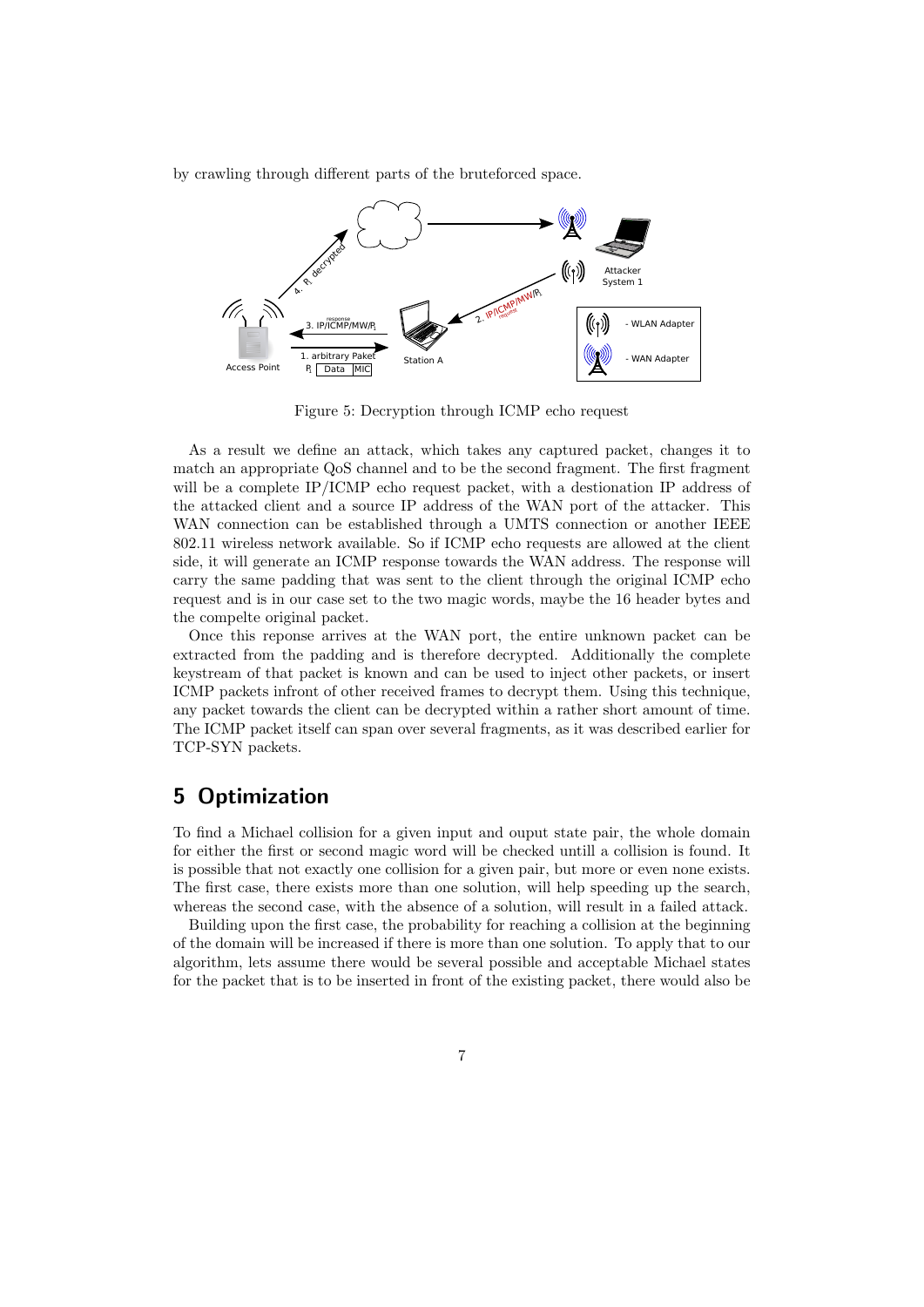by crawling through different parts of the bruteforced space.



Figure 5: Decryption through ICMP echo request

As a result we define an attack, which takes any captured packet, changes it to match an appropriate QoS channel and to be the second fragment. The first fragment will be a complete IP/ICMP echo request packet, with a destionation IP address of the attacked client and a source IP address of the WAN port of the attacker. This WAN connection can be established through a UMTS connection or another IEEE 802.11 wireless network available. So if ICMP echo requests are allowed at the client side, it will generate an ICMP response towards the WAN address. The response will carry the same padding that was sent to the client through the original ICMP echo request and is in our case set to the two magic words, maybe the 16 header bytes and the compelte original packet.

Once this reponse arrives at the WAN port, the entire unknown packet can be extracted from the padding and is therefore decrypted. Additionally the complete keystream of that packet is known and can be used to inject other packets, or insert ICMP packets infront of other received frames to decrypt them. Using this technique, any packet towards the client can be decrypted within a rather short amount of time. The ICMP packet itself can span over several fragments, as it was described earlier for TCP-SYN packets.

## 5 Optimization

To find a Michael collision for a given input and ouput state pair, the whole domain for either the first or second magic word will be checked untill a collision is found. It is possible that not exactly one collision for a given pair, but more or even none exists. The first case, there exists more than one solution, will help speeding up the search, whereas the second case, with the absence of a solution, will result in a failed attack.

Building upon the first case, the probability for reaching a collision at the beginning of the domain will be increased if there is more than one solution. To apply that to our algorithm, lets assume there would be several possible and acceptable Michael states for the packet that is to be inserted in front of the existing packet, there would also be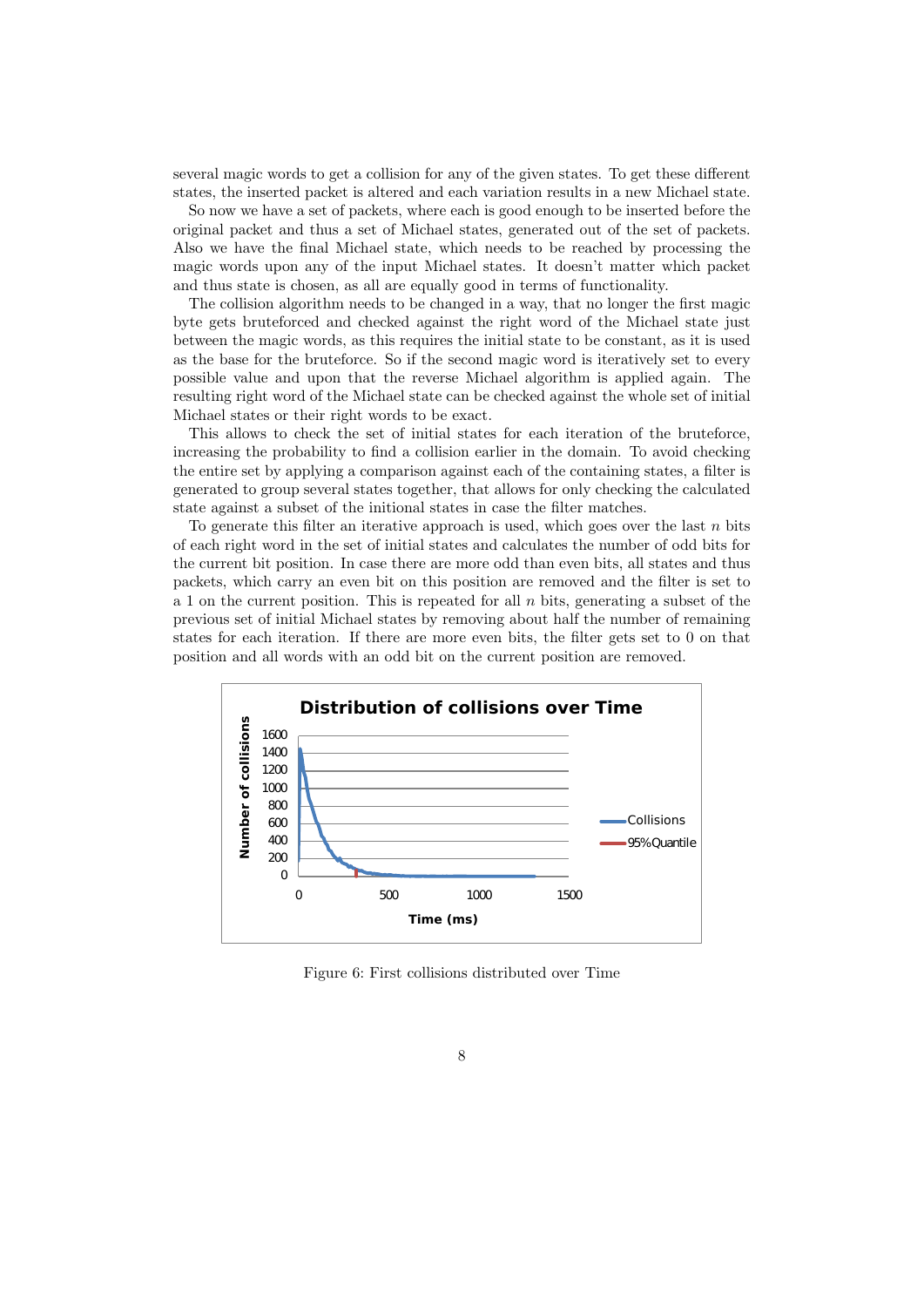several magic words to get a collision for any of the given states. To get these different states, the inserted packet is altered and each variation results in a new Michael state.

So now we have a set of packets, where each is good enough to be inserted before the original packet and thus a set of Michael states, generated out of the set of packets. Also we have the final Michael state, which needs to be reached by processing the magic words upon any of the input Michael states. It doesn't matter which packet and thus state is chosen, as all are equally good in terms of functionality.

The collision algorithm needs to be changed in a way, that no longer the first magic byte gets bruteforced and checked against the right word of the Michael state just between the magic words, as this requires the initial state to be constant, as it is used as the base for the bruteforce. So if the second magic word is iteratively set to every possible value and upon that the reverse Michael algorithm is applied again. The resulting right word of the Michael state can be checked against the whole set of initial Michael states or their right words to be exact.

This allows to check the set of initial states for each iteration of the bruteforce, increasing the probability to find a collision earlier in the domain. To avoid checking the entire set by applying a comparison against each of the containing states, a filter is generated to group several states together, that allows for only checking the calculated state against a subset of the initional states in case the filter matches.

To generate this filter an iterative approach is used, which goes over the last  $n$  bits of each right word in the set of initial states and calculates the number of odd bits for the current bit position. In case there are more odd than even bits, all states and thus packets, which carry an even bit on this position are removed and the filter is set to a 1 on the current position. This is repeated for all  $n$  bits, generating a subset of the previous set of initial Michael states by removing about half the number of remaining states for each iteration. If there are more even bits, the filter gets set to 0 on that position and all words with an odd bit on the current position are removed.



<span id="page-7-0"></span>Figure 6: First collisions distributed over Time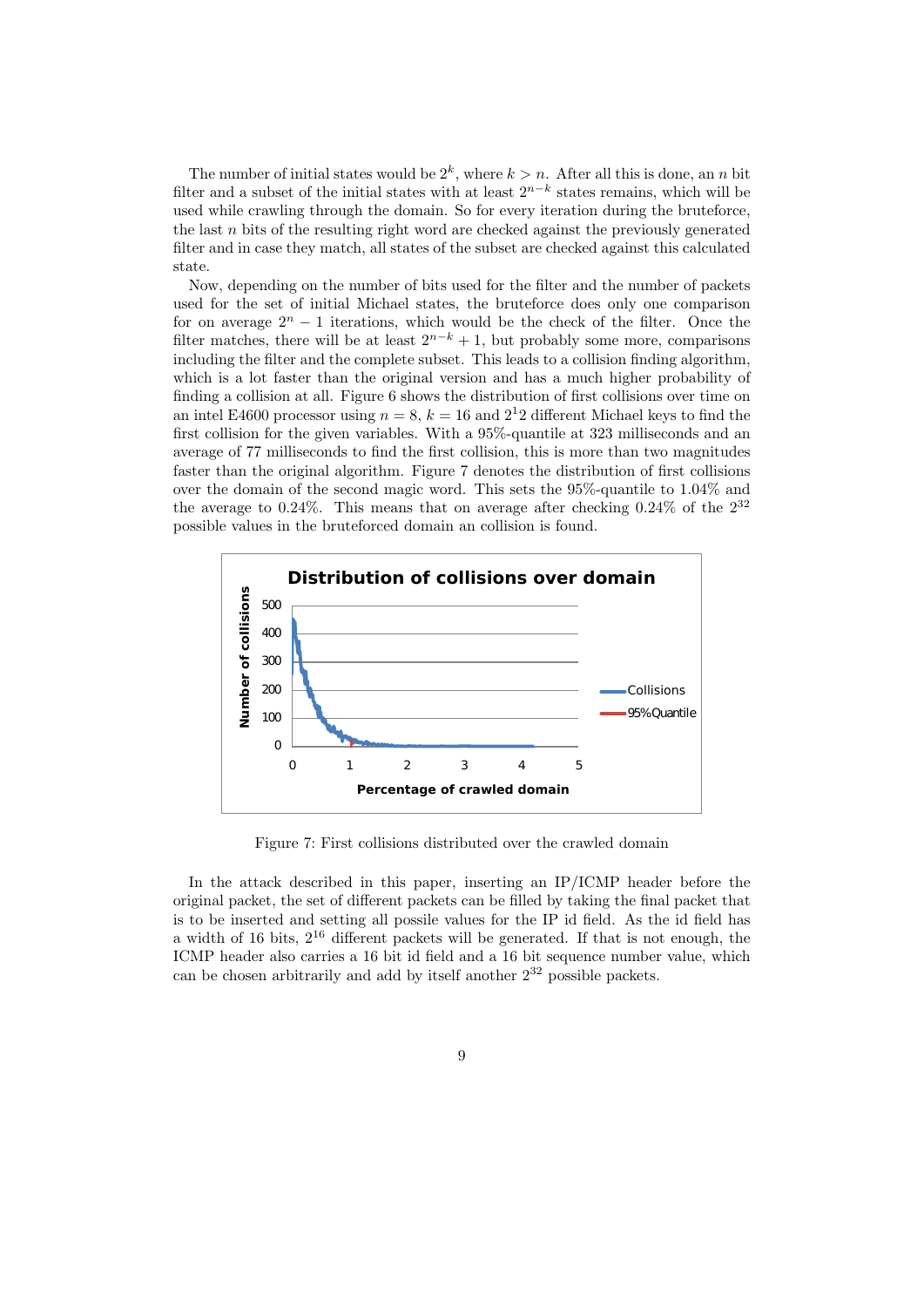The number of initial states would be  $2^k$ , where  $k > n$ . After all this is done, an n bit filter and a subset of the initial states with at least  $2^{n-k}$  states remains, which will be used while crawling through the domain. So for every iteration during the bruteforce, the last  $n$  bits of the resulting right word are checked against the previously generated filter and in case they match, all states of the subset are checked against this calculated state.

Now, depending on the number of bits used for the filter and the number of packets used for the set of initial Michael states, the bruteforce does only one comparison for on average  $2^n - 1$  iterations, which would be the check of the filter. Once the filter matches, there will be at least  $2^{n-k} + 1$ , but probably some more, comparisons including the filter and the complete subset. This leads to a collision finding algorithm, which is a lot faster than the original version and has a much higher probability of finding a collision at all. Figure [6](#page-7-0) shows the distribution of first collisions over time on an intel E4600 processor using  $n = 8$ ,  $k = 16$  and  $2<sup>1</sup>2$  different Michael keys to find the first collision for the given variables. With a 95%-quantile at 323 milliseconds and an average of 77 milliseconds to find the first collision, this is more than two magnitudes faster than the original algorithm. Figure [7](#page-8-0) denotes the distribution of first collisions over the domain of the second magic word. This sets the 95%-quantile to 1.04% and the average to 0.24%. This means that on average after checking  $0.24\%$  of the  $2^{32}$ possible values in the bruteforced domain an collision is found.



<span id="page-8-0"></span>Figure 7: First collisions distributed over the crawled domain

In the attack described in this paper, inserting an IP/ICMP header before the original packet, the set of different packets can be filled by taking the final packet that is to be inserted and setting all possile values for the IP id field. As the id field has a width of 16 bits,  $2^{16}$  different packets will be generated. If that is not enough, the ICMP header also carries a 16 bit id field and a 16 bit sequence number value, which can be chosen arbitrarily and add by itself another  $2^{32}$  possible packets.